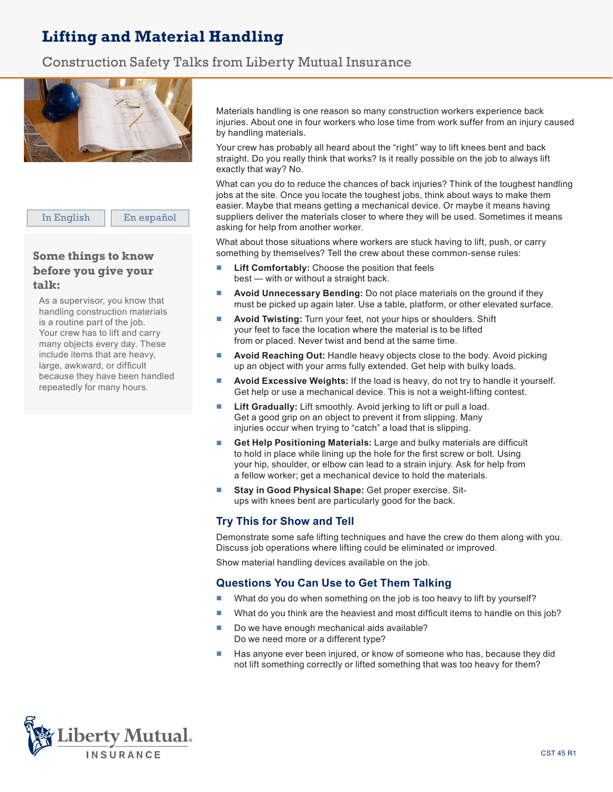# Lifting and Material Handling

### Construction Safety Talks from Liberty Mutual Insurance



In English | En español

### Some things to know **before you give your talk: Plática:**

As a supervisor, you know that handling construction materials handling construction materials<br>is a routine part of the job. Your crew has to lift and carry many objects every day. These include items that are heavy, large, awkward, or difficult because they have been handled repeatedly for many hours.

Materials handling is one reason so many construction workers experience back injuries. About one in four workers who lose time from work suffer from an injury caused<br>by handling materials by handling materials.

ay nanaling inatenaie.<br>Your crew has probably all heard about the "right" way to lift knees bent and back Four city may probably an hourd about the "right" may to incrime be being and back-<br>straight. Do you really think that works? Is it really possible on the job to always lift exactly that way? No.

What can you do to reduce the chances of back injuries? Think of the toughest handling The start you do to consume the share of such anywhere. Then we do go according the site in the site. Once you locate the toughest jobs, think about ways to make them easier. Maybe that means getting a mechanical device. Or maybe it means having easier. Maybe that means getting a mechanical device. Or maybe it means having es functionally constructing general positions in the cost of the position control the materials suppliers deliver the materials closer to where they will be used. Sometimes it means exppresse somer the material execution and the extended state.

What about those situations where workers are stuck having to lift, push, or carry materiales en la statuta méricales de materiales de materiales de materiales de materiales.<br>Something by themselves? Tell the crew about these common-sense rules: se identifique non las tareas más difíciles, piense en las formas de hacerlas más fáciles.

- Lift Comfortably: Choose the position that feels best — with or without a straight back.
- **Avoid Unnecessary Bending:** Do not place materials on the ground if they must be picked up again later. Use a table, platform, or other elevated surface.
- **Avoid Twisting:** Turn your feet, not your hips or shoulders. Shift your feet to face the location where the material is to be lifted from or placed. Never twist and bend at the same time.<br> **A Levantar Comodamente: <b>Esco**ja la posición que se escoja la posición que se escoja la posición que se escoja
- **Avoid Reaching Out: Handle heavy objects close to the body. Avoid picking** up an object with your arms fully extended. Get help with bulky loads.
- **Avoid Excessive Weights:** If the load is heavy, do not try to handle it yourself. Get help or use a mechanical device. This is not a weight-lifting contest. ■ **Evite Doblarse Innecesariamente:** No ponga materiales en **Avold Excessive weights:** If the load is heavy, do not try to
- **Lift Gradually:** Lift smoothly. Avoid jerking to lift or pull a load. Get a good grip on an object to prevent it from slipping. Many injuries occur when trying to "catch" a load that is slipping.
- **Get Help Positioning Materials:** Large and bulky materials are difficult to hold in place while lining up the hole for the first screw or bolt. Using your hip, shoulder, or elbow can lead to a strain injury. Ask for help from a fellow worker; get a mechanical device to hold the materials.
- **Stay in Good Physical Shape:** Get proper exercise. Situps with knees bent are particularly good for the back.

## **Try This for Show and Tell**

**BET 1999 THE COLOGET STATE TER**<br>Demonstrate some safe lifting techniques and have the crew do them along with you. Discuss job operations where lifting could be eliminated or improved. ionstrate some sale liming techniques and have the crew do them a

Show material handling devices available on the job.

#### **Questions You Can Use to Get Them Talking** son die rou dan différent en su lugar mantener en su lugar mientras que se trata de la construcción de la cons

- What do you do when something on the job is too heavy to lift by yourself?
- What do you think are the heaviest and most difficult items to handle on this job? una aparamina o no noanos ana most ambat tomo to naturo
- Do we have enough mechanical aids available? - Bo we nave enough mechanical alus available:<br>Do we need more or a different type?
- Has anyone ever been injured, or know of someone who has, because they did <br>■ Has anyone ever been injured, or know of someone who has, because they did not lift something correctly or lifted something that was too heavy for them? Has anyone ever been injured, or know of someone who has, t